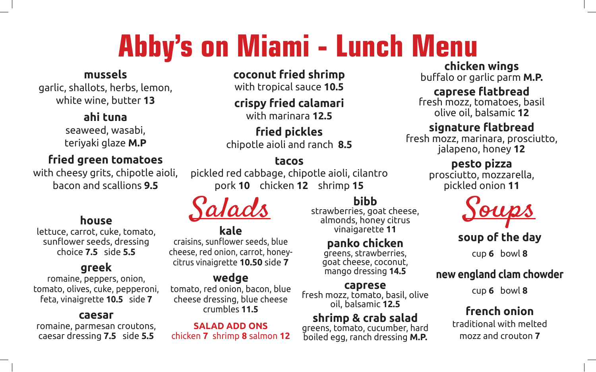# **Abby's on Miami - Lunch Menu**

#### **mussels**

garlic, shallots, herbs, lemon, white wine, butter **13**

#### **ahi tuna**

seaweed, wasabi, teriyaki glaze **M.P**

#### **fried green tomatoes**

with cheesy grits, chipotle aioli, bacon and scallions **9.5**

#### **house**

lettuce, carrot, cuke, tomato, sunflower seeds, dressing choice **7.5** side **5.5**

#### **greek**

romaine, peppers, onion, tomato, olives, cuke, pepperoni, feta, vinaigrette **10.5** side **7**

#### **caesar**

romaine, parmesan croutons, caesar dressing **7.5** side **5.5**

**coconut fried shrimp**

with tropical sauce **10.5**

#### **crispy fried calamari** with marinara **12.5**

**fried pickles** chipotle aioli and ranch **8.5**

#### **tacos**

pickled red cabbage, chipotle aioli, cilantro pork **10** chicken **12** shrimp **15**

#### **kale**

craisins, sunflower seeds, blue cheese, red onion, carrot, honeycitrus vinaigrette **10.50** side **7**

#### **wedge**

tomato, red onion, bacon, blue cheese dressing, blue cheese crumbles **11.5**

**SALAD ADD ONS** chicken **7** shrimp **8** salmon **12**

### **bibb**

strawberries, goat cheese, almonds, honey citrus vinaigarette **11**

#### **panko chicken**

greens, strawberries, goat cheese, coconut, mango dressing **14.5**

**caprese** fresh mozz, tomato, basil, olive oil, balsamic **12.5**

# **shrimp & crab salad**<br>greens, tomato, cucumber, hard

boiled egg, ranch dressing **M.P.**

# **chicken wings**

buffalo or garlic parm **M.P.** 

#### **caprese flatbread**

fresh mozz, tomatoes, basil olive oil, balsamic **12**

#### **signature flatbread**

fresh mozz, marinara, prosciutto, jalapeno, honey **12**

#### **pesto pizza**

prosciutto, mozzarella, pickled onion **11**



#### **soup of the day**

cup **6** bowl **8**

#### **new england clam chowder**

cup **6** bowl **8**

#### **french onion**

traditional with melted mozz and crouton **7**